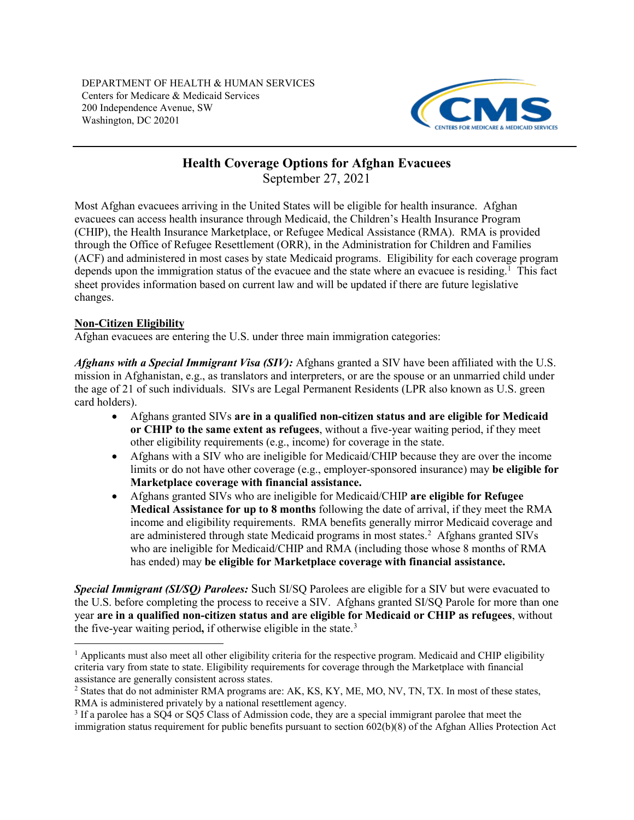<span id="page-0-3"></span>

# **Health Coverage Options for Afghan Evacuees**

September 27, 2021

Most Afghan evacuees arriving in the United States will be eligible for health insurance. Afghan evacuees can access health insurance through Medicaid, the Children's Health Insurance Program (CHIP), the Health Insurance Marketplace, or Refugee Medical Assistance (RMA). RMA is provided through the Office of Refugee Resettlement (ORR), in the Administration for Children and Families (ACF) and administered in most cases by state Medicaid programs. Eligibility for each coverage program depends upon the immigration status of the evacuee and the state where an evacuee is residing.<sup>1</sup> This fact sheet provides information based on current law and will be updated if there are future legislative changes.

# **Non-Citizen Eligibility**

 $\overline{a}$ 

Afghan evacuees are entering the U.S. under three main immigration categories:

*Afghans with a Special Immigrant Visa (SIV):* Afghans granted a SIV have been affiliated with the U.S. mission in Afghanistan, e.g., as translators and interpreters, or are the spouse or an unmarried child under the age of 21 of such individuals. SIVs are Legal Permanent Residents (LPR also known as U.S. green card holders).

- Afghans granted SIVs **are in a qualified non-citizen status and are eligible for Medicaid or CHIP to the same extent as refugees**, without a five-year waiting period, if they meet other eligibility requirements (e.g., income) for coverage in the state.
- Afghans with a SIV who are ineligible for Medicaid/CHIP because they are over the income limits or do not have other coverage (e.g., employer-sponsored insurance) may **be eligible for Marketplace coverage with financial assistance.**
- Afghans granted SIVs who are ineligible for Medicaid/CHIP **are eligible for Refugee Medical Assistance for up to 8 months** following the date of arrival, if they meet the RMA income and eligibility requirements. RMA benefits generally mirror Medicaid coverage and are administered through state Medicaid programs in most states. [2](#page-0-1) Afghans granted SIVs who are ineligible for Medicaid/CHIP and RMA (including those whose 8 months of RMA has ended) may **be eligible for Marketplace coverage with financial assistance.**

*Special Immigrant (SI/SQ) Parolees:* Such SI/SQ Parolees are eligible for a SIV but were evacuated to the U.S. before completing the process to receive a SIV. Afghans granted SI/SQ Parole for more than one year **are in a qualified non-citizen status and are eligible for Medicaid or CHIP as refugees**, without the five-year waiting period**,** if otherwise eligible in the state.[3](#page-0-2)

<span id="page-0-0"></span> $<sup>1</sup>$  Applicants must also meet all other eligibility criteria for the respective program. Medicaid and CHIP eligibility</sup> criteria vary from state to state. Eligibility requirements for coverage through the Marketplace with financial assistance are generally consistent across states.

<span id="page-0-1"></span><sup>&</sup>lt;sup>2</sup> States that do not administer RMA programs are: AK, KS, KY, ME, MO, NV, TN, TX. In most of these states, RMA is administered privately by a national resettlement agency.

<span id="page-0-2"></span><sup>3</sup> If a parolee has a SQ4 or SQ5 Class of Admission code, they are a special immigrant parolee that meet the immigration status requirement for public benefits pursuant to section 602(b)(8) of the Afghan Allies Protection Act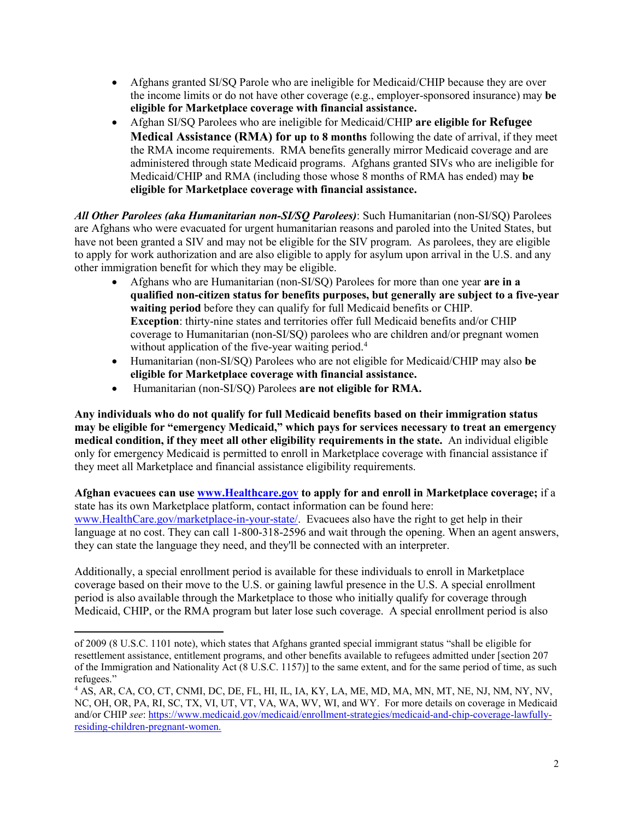- Afghans granted SI/SQ Parole who are ineligible for Medicaid/CHIP because they are over the income limits or do not have other coverage (e.g., employer-sponsored insurance) may **be eligible for Marketplace coverage with financial assistance.**
- Afghan SI/SQ Parolees who are ineligible for Medicaid/CHIP **are eligible for Refugee Medical Assistance (RMA) for up to 8 months** following the date of arrival, if they meet the RMA income requirements. RMA benefits generally mirror Medicaid coverage and are administered through state Medicaid programs. Afghans granted SIVs who are ineligible for Medicaid/CHIP and RMA (including those whose 8 months of RMA has ended) may **be eligible for Marketplace coverage with financial assistance.**

*All Other Parolees (aka Humanitarian non-SI/SQ Parolees)*: Such Humanitarian (non-SI/SQ) Parolees are Afghans who were evacuated for urgent humanitarian reasons and paroled into the United States, but have not been granted a SIV and may not be eligible for the SIV program. As parolees, they are eligible to apply for work authorization and are also eligible to apply for asylum upon arrival in the U.S. and any other immigration benefit for which they may be eligible.

- Afghans who are Humanitarian (non-SI/SQ) Parolees for more than one year **are in a qualified non-citizen status for benefits purposes, but generally are subject to a five-year waiting period** before they can qualify for full Medicaid benefits or CHIP. **Exception**: thirty-nine states and territories offer full Medicaid benefits and/or CHIP coverage to Humanitarian (non-SI/SQ) parolees who are children and/or pregnant women without application of the five-year waiting period.<sup>[4](#page-1-0)</sup>
- Humanitarian (non-SI/SQ) Parolees who are not eligible for Medicaid/CHIP may also **be eligible for Marketplace coverage with financial assistance.**
- Humanitarian (non-SI/SQ) Parolees **are not eligible for RMA.**

**Any individuals who do not qualify for full Medicaid benefits based on their immigration status may be eligible for "emergency Medicaid," which pays for services necessary to treat an emergency medical condition, if they meet all other eligibility requirements in the state.** An individual eligible only for emergency Medicaid is permitted to enroll in Marketplace coverage with financial assistance if they meet all Marketplace and financial assistance eligibility requirements.

**Afghan evacuees can use [www.Healthcare.gov](http://www.healthcare.gov/) to apply for and enroll in Marketplace coverage;** if a state has its own Marketplace platform, contact information can be found here: [www.HealthCare.gov/marketplace-in-your-state/.](http://www.healthcare.gov/marketplace-in-your-state/) Evacuees also have the right to get help in their language at no cost. They can call 1-800-318-2596 and wait through the opening. When an agent answers, they can state the language they need, and they'll be connected with an interpreter.

Additionally, a special enrollment period is available for these individuals to enroll in Marketplace coverage based on their move to the U.S. or gaining lawful presence in the U.S. A special enrollment period is also available through the Marketplace to those who initially qualify for coverage through Medicaid, CHIP, or the RMA program but later lose such coverage. A special enrollment period is also

 $\overline{a}$ of 2009 (8 U.S.C. 1101 note), which states that Afghans granted special immigrant status "shall be eligible for resettlement assistance, entitlement programs, and other benefits available to refugees admitted under [section 207 of the Immigration and Nationality Act (8 U.S.C. 1157)] to the same extent, and for the same period of time, as such refugees."

<span id="page-1-0"></span><sup>4</sup> AS, AR, CA, CO, CT, CNMI, DC, DE, FL, HI, IL, IA, KY, LA, ME, MD, MA, MN, MT, NE, NJ, NM, NY, NV, NC, OH, OR, PA, RI, SC, TX, VI, UT, VT, VA, WA, WV, WI, and WY. For more details on coverage in Medicaid and/or CHIP *see*: [https://www.medicaid.gov/medicaid/enrollment-strategies/medicaid-and-chip-coverage-lawfully](https://www.medicaid.gov/medicaid/enrollment-strategies/medicaid-and-chip-coverage-lawfully-residing-children-pregnant-women)[residing-children-pregnant-women.](https://www.medicaid.gov/medicaid/enrollment-strategies/medicaid-and-chip-coverage-lawfully-residing-children-pregnant-women)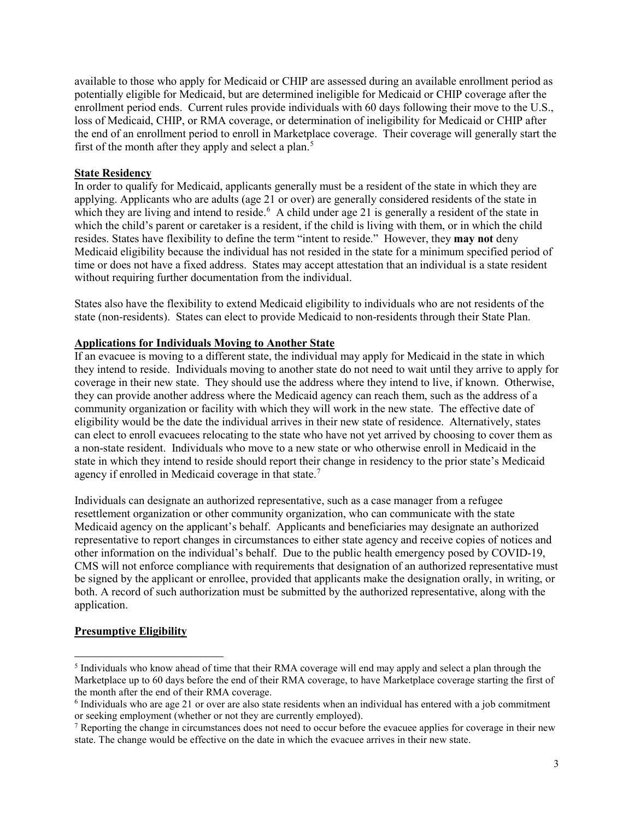available to those who apply for Medicaid or CHIP are assessed during an available enrollment period as potentially eligible for Medicaid, but are determined ineligible for Medicaid or CHIP coverage after the enrollment period ends. Current rules provide individuals with 60 days following their move to the U.S., loss of Medicaid, CHIP, or RMA coverage, or determination of ineligibility for Medicaid or CHIP after the end of an enrollment period to enroll in Marketplace coverage. Their coverage will generally start the first of the month after they apply and select a plan.<sup>[5](#page-2-0)</sup>

#### **State Residency**

In order to qualify for Medicaid, applicants generally must be a resident of the state in which they are applying. Applicants who are adults (age 21 or over) are generally considered residents of the state in which they are living and intend to reside.<sup>[6](#page-2-1)</sup> A child under age 21 is generally a resident of the state in which the child's parent or caretaker is a resident, if the child is living with them, or in which the child resides. States have flexibility to define the term "intent to reside." However, they **may not** deny Medicaid eligibility because the individual has not resided in the state for a minimum specified period of time or does not have a fixed address. States may accept attestation that an individual is a state resident without requiring further documentation from the individual.

States also have the flexibility to extend Medicaid eligibility to individuals who are not residents of the state (non-residents). States can elect to provide Medicaid to non-residents through their State Plan.

## **Applications for Individuals Moving to Another State**

If an evacuee is moving to a different state, the individual may apply for Medicaid in the state in which they intend to reside. Individuals moving to another state do not need to wait until they arrive to apply for coverage in their new state. They should use the address where they intend to live, if known. Otherwise, they can provide another address where the Medicaid agency can reach them, such as the address of a community organization or facility with which they will work in the new state. The effective date of eligibility would be the date the individual arrives in their new state of residence. Alternatively, states can elect to enroll evacuees relocating to the state who have not yet arrived by choosing to cover them as a non-state resident. Individuals who move to a new state or who otherwise enroll in Medicaid in the state in which they intend to reside should report their change in residency to the prior state's Medicaid agency if enrolled in Medicaid coverage in that state.<sup>[7](#page-2-2)</sup>

Individuals can designate an authorized representative, such as a case manager from a refugee resettlement organization or other community organization, who can communicate with the state Medicaid agency on the applicant's behalf. Applicants and beneficiaries may designate an authorized representative to report changes in circumstances to either state agency and receive copies of notices and other information on the individual's behalf. Due to the public health emergency posed by COVID-19, CMS will not enforce compliance with requirements that designation of an authorized representative must be signed by the applicant or enrollee, provided that applicants make the designation orally, in writing, or both. A record of such authorization must be submitted by the authorized representative, along with the application.

## **Presumptive Eligibility**

<span id="page-2-0"></span> $\overline{a}$ <sup>5</sup> Individuals who know ahead of time that their RMA coverage will end may apply and select a plan through the Marketplace up to 60 days before the end of their RMA coverage, to have Marketplace coverage starting the first of the month after the end of their RMA coverage.

<span id="page-2-1"></span><sup>6</sup> Individuals who are age 21 or over are also state residents when an individual has entered with a job commitment or seeking employment (whether or not they are currently employed).

<span id="page-2-2"></span> $<sup>7</sup>$  Reporting the change in circumstances does not need to occur before the evacuee applies for coverage in their new</sup> state. The change would be effective on the date in which the evacuee arrives in their new state.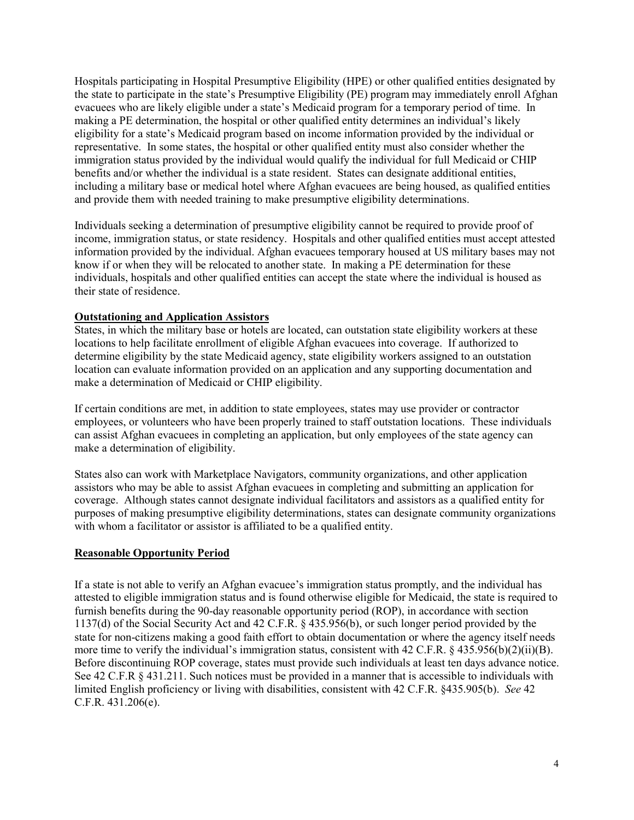Hospitals participating in Hospital Presumptive Eligibility (HPE) or other qualified entities designated by the state to participate in the state's Presumptive Eligibility (PE) program may immediately enroll Afghan evacuees who are likely eligible under a state's Medicaid program for a temporary period of time. In making a PE determination, the hospital or other qualified entity determines an individual's likely eligibility for a state's Medicaid program based on income information provided by the individual or representative. In some states, the hospital or other qualified entity must also consider whether the immigration status provided by the individual would qualify the individual for full Medicaid or CHIP benefits and/or whether the individual is a state resident. States can designate additional entities, including a military base or medical hotel where Afghan evacuees are being housed, as qualified entities and provide them with needed training to make presumptive eligibility determinations.

Individuals seeking a determination of presumptive eligibility cannot be required to provide proof of income, immigration status, or state residency. Hospitals and other qualified entities must accept attested information provided by the individual. Afghan evacuees temporary housed at US military bases may not know if or when they will be relocated to another state. In making a PE determination for these individuals, hospitals and other qualified entities can accept the state where the individual is housed as their state of residence.

## **Outstationing and Application Assistors**

States, in which the military base or hotels are located, can outstation state eligibility workers at these locations to help facilitate enrollment of eligible Afghan evacuees into coverage. If authorized to determine eligibility by the state Medicaid agency, state eligibility workers assigned to an outstation location can evaluate information provided on an application and any supporting documentation and make a determination of Medicaid or CHIP eligibility.

If certain conditions are met, in addition to state employees, states may use provider or contractor employees, or volunteers who have been properly trained to staff outstation locations. These individuals can assist Afghan evacuees in completing an application, but only employees of the state agency can make a determination of eligibility.

States also can work with Marketplace Navigators, community organizations, and other application assistors who may be able to assist Afghan evacuees in completing and submitting an application for coverage. Although states cannot designate individual facilitators and assistors as a qualified entity for purposes of making presumptive eligibility determinations, states can designate community organizations with whom a facilitator or assistor is affiliated to be a qualified entity.

#### **Reasonable Opportunity Period**

If a state is not able to verify an Afghan evacuee's immigration status promptly, and the individual has attested to eligible immigration status and is found otherwise eligible for Medicaid, the state is required to furnish benefits during the 90-day reasonable opportunity period (ROP), in accordance with section 1137(d) of the Social Security Act and 42 C.F.R. § 435.956(b), or such longer period provided by the state for non-citizens making a good faith effort to obtain documentation or where the agency itself needs more time to verify the individual's immigration status, consistent with 42 C.F.R. § 435.956(b)(2)(ii)(B). Before discontinuing ROP coverage, states must provide such individuals at least ten days advance notice. See 42 C.F.R § 431.211. Such notices must be provided in a manner that is accessible to individuals with limited English proficiency or living with disabilities, consistent with 42 C.F.R. §435.905(b). *See* 42 C.F.R. 431.206(e).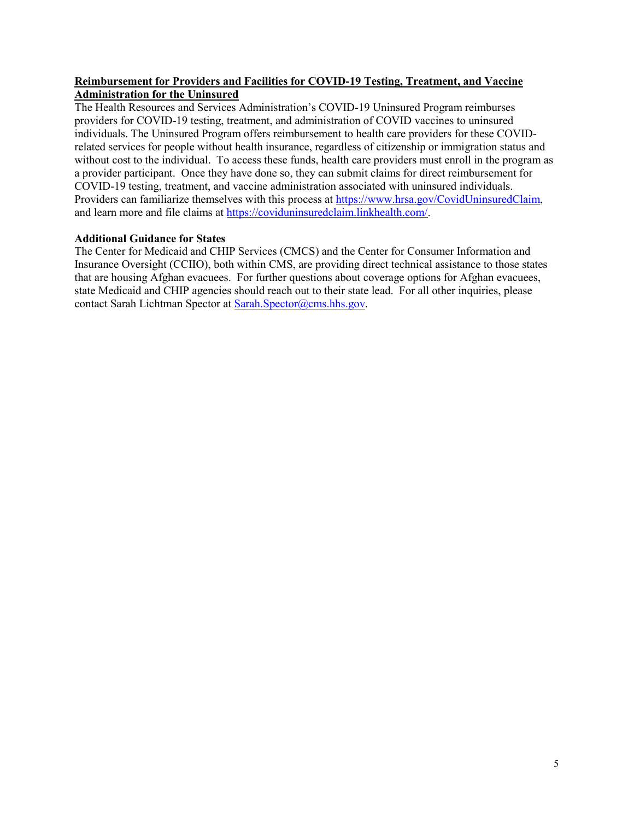## **Reimbursement for Providers and Facilities for COVID-19 Testing, Treatment, and Vaccine Administration for the Uninsured**

The Health Resources and Services Administration's COVID-19 Uninsured Program reimburses providers for COVID-19 testing, treatment, and administration of COVID vaccines to uninsured individuals. The Uninsured Program offers reimbursement to health care providers for these COVIDrelated services for people without health insurance, regardless of citizenship or immigration status and without cost to the individual. To access these funds, health care providers must enroll in the program as a provider participant. Once they have done so, they can submit claims for direct reimbursement for COVID-19 testing, treatment, and vaccine administration associated with uninsured individuals. Providers can familiarize themselves with this process at [https://www.hrsa.gov/CovidUninsuredClaim,](https://www.hrsa.gov/CovidUninsuredClaim) and learn more and file claims at [https://coviduninsuredclaim.linkhealth.com/.](https://coviduninsuredclaim.linkhealth.com/)

## **Additional Guidance for States**

The Center for Medicaid and CHIP Services (CMCS) and the Center for Consumer Information and Insurance Oversight (CCIIO), both within CMS, are providing direct technical assistance to those states that are housing Afghan evacuees. For further questions about coverage options for Afghan evacuees, state Medicaid and CHIP agencies should reach out to their state lead. For all other inquiries, please contact Sarah Lichtman Spector at [Sarah.Spector@cms.hhs.gov.](mailto:Sarah.Spector@cms.hhs.gov)